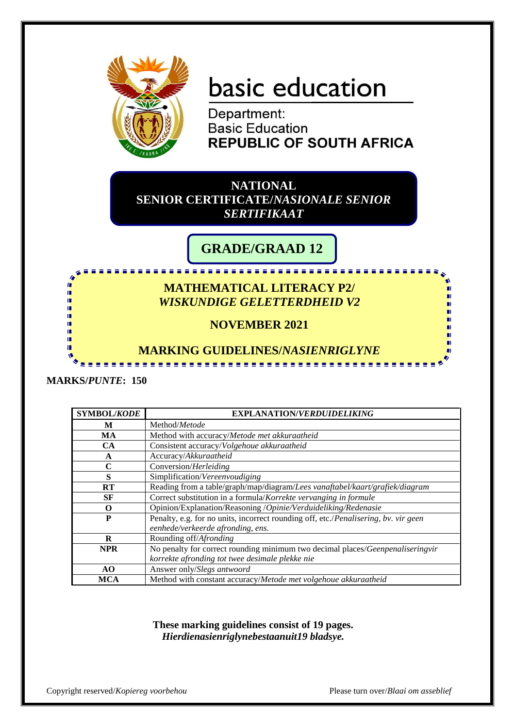

# basic education

Department: **Basic Education REPUBLIC OF SOUTH AFRICA** 

**NATIONAL SENIOR CERTIFICATE/***NASIONALE SENIOR SERTIFIKAAT*

# **GRADE/GRAAD 12**

<u>..................</u>

## **MATHEMATICAL LITERACY P2/** *WISKUNDIGE GELETTERDHEID V2*

# **NOVEMBER 2021**

### **MARKING GUIDELINES/***NASIENRIGLYNE*

.........................

#### **MARKS/***PUNTE***: 150**

۱Ē ١Ē

| <b>SYMBOL/KODE</b> | <b>EXPLANATION/VERDUIDELIKING</b>                                                   |  |
|--------------------|-------------------------------------------------------------------------------------|--|
| М                  | Method/Metode                                                                       |  |
| MA                 | Method with accuracy/Metode met akkuraatheid                                        |  |
| CA                 | Consistent accuracy/Volgehoue akkuraatheid                                          |  |
| $\mathbf{A}$       | Accuracy/Akkuraatheid                                                               |  |
| C                  | Conversion/Herleiding                                                               |  |
| S                  | Simplification/Vereenvoudiging                                                      |  |
| RT                 | Reading from a table/graph/map/diagram/Lees vanaftabel/kaart/grafiek/diagram        |  |
| <b>SF</b>          | Correct substitution in a formula/Korrekte vervanging in formule                    |  |
| O                  | Opinion/Explanation/Reasoning /Opinie/Verduideliking/Redenasie                      |  |
| P                  | Penalty, e.g. for no units, incorrect rounding off, etc./Penalisering, bv. vir geen |  |
|                    | eenhede/verkeerde afronding, ens.                                                   |  |
| R                  | Rounding off/Afronding                                                              |  |
| <b>NPR</b>         | No penalty for correct rounding minimum two decimal places/Geenpenaliseringvir      |  |
|                    | korrekte afronding tot twee desimale plekke nie                                     |  |
| AO                 | Answer only/Slegs antwoord                                                          |  |
| <b>MCA</b>         | Method with constant accuracy/Metode met volgehoue akkuraatheid                     |  |

**These marking guidelines consist of 19 pages.** *Hierdienasienriglynebestaanuit19 bladsye.*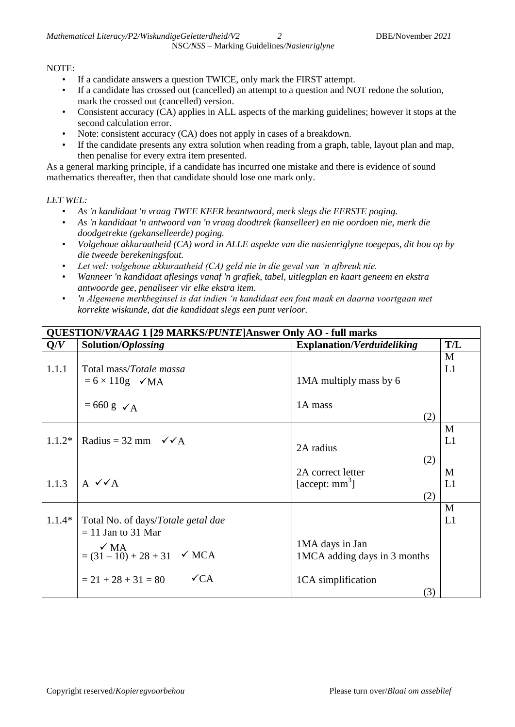#### NOTE:

- If a candidate answers a question TWICE, only mark the FIRST attempt.
- If a candidate has crossed out (cancelled) an attempt to a question and NOT redone the solution, mark the crossed out (cancelled) version.
- Consistent accuracy (CA) applies in ALL aspects of the marking guidelines; however it stops at the second calculation error.
- Note: consistent accuracy (CA) does not apply in cases of a breakdown.
- If the candidate presents any extra solution when reading from a graph, table, layout plan and map, then penalise for every extra item presented.

As a general marking principle, if a candidate has incurred one mistake and there is evidence of sound mathematics thereafter, then that candidate should lose one mark only.

#### *LET WEL:*

- *As 'n kandidaat 'n vraag TWEE KEER beantwoord, merk slegs die EERSTE poging.*
- *As 'n kandidaat 'n antwoord van 'n vraag doodtrek (kanselleer) en nie oordoen nie, merk die doodgetrekte (gekanselleerde) poging.*
- *Volgehoue akkuraatheid (CA) word in ALLE aspekte van die nasienriglyne toegepas, dit hou op by die tweede berekeningsfout.*
- *Let wel: volgehoue akkuraatheid (CA) geld nie in die geval van 'n afbreuk nie.*
- *Wanneer 'n kandidaat aflesings vanaf 'n grafiek, tabel, uitlegplan en kaart geneem en ekstra antwoorde gee, penaliseer vir elke ekstra item.*
- *'n Algemene merkbeginsel is dat indien 'n kandidaat een fout maak en daarna voortgaan met korrekte wiskunde, dat die kandidaat slegs een punt verloor.*

| QUESTION/VRAAG 1 [29 MARKS/PUNTE]Answer Only AO - full marks |                                                            |                                   |         |
|--------------------------------------------------------------|------------------------------------------------------------|-----------------------------------|---------|
| Q/V                                                          | Solution/Oplossing                                         | <b>Explanation/Verduideliking</b> | T/L     |
| 1.1.1                                                        | Total mass/Totale massa                                    |                                   | M<br>L1 |
|                                                              | $= 6 \times 110$ g $\checkmark$ MA                         | 1MA multiply mass by 6            |         |
|                                                              | $= 660 \text{ g } \checkmark$ A                            | 1A mass<br>(2)                    |         |
|                                                              |                                                            |                                   | M       |
|                                                              | $1.1.2*$   Radius = 32 mm $\checkmark$ / A                 | 2A radius                         | L1      |
|                                                              |                                                            | (2)                               |         |
|                                                              |                                                            | 2A correct letter                 | M       |
| 1.1.3                                                        | $A \vee A$                                                 | [accept: $mm3$ ]                  | L1      |
|                                                              |                                                            | (2)                               |         |
|                                                              |                                                            |                                   | M       |
| $1.1.4*$                                                     | Total No. of days/Totale getal dae<br>$= 11$ Jan to 31 Mar |                                   | L1      |
|                                                              |                                                            | 1MA days in Jan                   |         |
|                                                              | $\angle$ MA<br>= (31 - 10) + 28 + 31 $\angle$ MCA          | 1MCA adding days in 3 months      |         |
|                                                              |                                                            |                                   |         |
|                                                              | $\sqrt{CA}$<br>$= 21 + 28 + 31 = 80$                       | 1CA simplification                |         |
|                                                              |                                                            | (3)                               |         |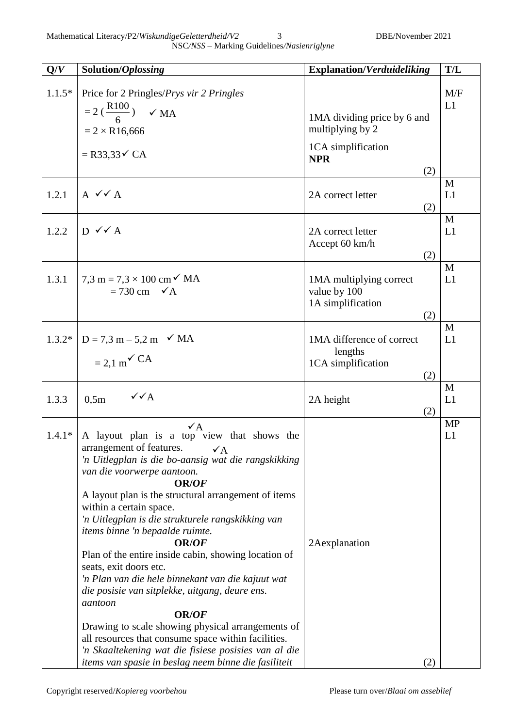NSC*/NSS –* Marking Guidelines*/Nasienriglyne*

| Q/V      | Solution/Oplossing                                                                                                                                                                                                                                                                                                                                                                                                                                                                                                                                                                                                                                                                                                                                                                                                                                            | <b>Explanation/Verduideliking</b>                                     | T/L             |
|----------|---------------------------------------------------------------------------------------------------------------------------------------------------------------------------------------------------------------------------------------------------------------------------------------------------------------------------------------------------------------------------------------------------------------------------------------------------------------------------------------------------------------------------------------------------------------------------------------------------------------------------------------------------------------------------------------------------------------------------------------------------------------------------------------------------------------------------------------------------------------|-----------------------------------------------------------------------|-----------------|
| $1.1.5*$ | Price for 2 Pringles/ <i>Prys vir 2 Pringles</i><br>$= 2 \left( \frac{R100}{6} \right)$ $\checkmark$ MA<br>$= 2 \times R16,666$                                                                                                                                                                                                                                                                                                                                                                                                                                                                                                                                                                                                                                                                                                                               | 1MA dividing price by 6 and<br>multiplying by 2<br>1CA simplification | M/F<br>L1       |
|          | $=$ R33,33 $\checkmark$ CA                                                                                                                                                                                                                                                                                                                                                                                                                                                                                                                                                                                                                                                                                                                                                                                                                                    | <b>NPR</b><br>(2)                                                     |                 |
| 1.2.1    | $A \vee A$                                                                                                                                                                                                                                                                                                                                                                                                                                                                                                                                                                                                                                                                                                                                                                                                                                                    | 2A correct letter<br>(2)                                              | M<br>L1         |
| 1.2.2    | $D \vee A$                                                                                                                                                                                                                                                                                                                                                                                                                                                                                                                                                                                                                                                                                                                                                                                                                                                    | 2A correct letter<br>Accept 60 km/h<br>(2)                            | M<br>L1         |
| 1.3.1    | 7,3 m = $7.3 \times 100 \text{ cm}^2$ MA<br>$= 730$ cm $\checkmark$ A                                                                                                                                                                                                                                                                                                                                                                                                                                                                                                                                                                                                                                                                                                                                                                                         | 1MA multiplying correct<br>value by 100<br>1A simplification<br>(2)   | M<br>L1         |
| $1.3.2*$ | $D = 7.3 m - 5.2 m \checkmark M A$<br>$= 2.1$ m <sup><math>\checkmark</math></sup> CA                                                                                                                                                                                                                                                                                                                                                                                                                                                                                                                                                                                                                                                                                                                                                                         | 1MA difference of correct<br>lengths<br>1CA simplification<br>(2)     | M<br>L1         |
| 1.3.3    | $\sqrt{\sqrt{A}}$<br>0,5m                                                                                                                                                                                                                                                                                                                                                                                                                                                                                                                                                                                                                                                                                                                                                                                                                                     | 2A height<br>(2)                                                      | M<br>L1         |
| $1.4.1*$ | $\sqrt{A}$<br>A layout plan is a top view that shows the<br>arrangement of features.<br>$\checkmark$ A<br>'n Uitlegplan is die bo-aansig wat die rangskikking<br>van die voorwerpe aantoon.<br><b>OR/OF</b><br>A layout plan is the structural arrangement of items<br>within a certain space.<br>'n Uitlegplan is die strukturele rangskikking van<br><i>items binne 'n bepaalde ruimte.</i><br><b>OR/OF</b><br>Plan of the entire inside cabin, showing location of<br>seats, exit doors etc.<br>'n Plan van die hele binnekant van die kajuut wat<br>die posisie van sitplekke, uitgang, deure ens.<br>aantoon<br><b>OR/OF</b><br>Drawing to scale showing physical arrangements of<br>all resources that consume space within facilities.<br>'n Skaaltekening wat die fisiese posisies van al die<br>items van spasie in beslag neem binne die fasiliteit | 2Aexplanation<br>(2)                                                  | <b>MP</b><br>L1 |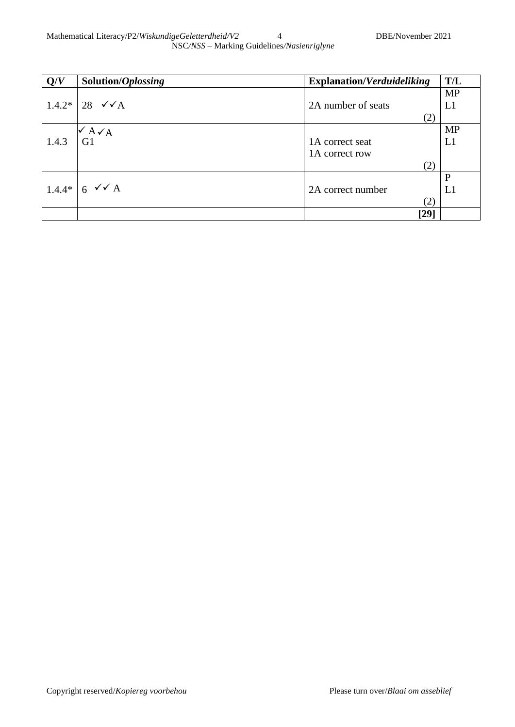| Q/V      | Solution/Oplossing             | <b>Explanation/Verduideliking</b> | T/L          |
|----------|--------------------------------|-----------------------------------|--------------|
|          |                                |                                   | <b>MP</b>    |
| $1.4.2*$ | 28 $\checkmark$ $\checkmark$ A | 2A number of seats                | L1           |
|          |                                | (2)                               |              |
|          | $\mathsf{A} \mathsf{A}$        |                                   | <b>MP</b>    |
| 1.4.3    | G1                             | 1A correct seat                   | L1           |
|          |                                | 1A correct row                    |              |
|          |                                | (2)                               |              |
|          |                                |                                   | $\mathbf{P}$ |
| $1.4.4*$ | $6 \sqrt{A}$                   | 2A correct number                 | L1           |
|          |                                | (2)                               |              |
|          |                                | $[29]$                            |              |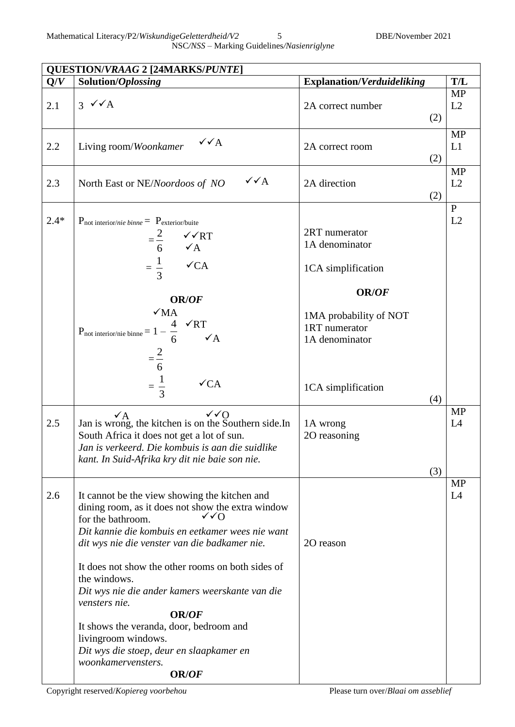| Solution/Oplossing                                                                                                                                                                                                                                                                                                                                                                                                                                                                                                        | <b>Explanation/Verduideliking</b>                                                                                                                 | T/L                             |
|---------------------------------------------------------------------------------------------------------------------------------------------------------------------------------------------------------------------------------------------------------------------------------------------------------------------------------------------------------------------------------------------------------------------------------------------------------------------------------------------------------------------------|---------------------------------------------------------------------------------------------------------------------------------------------------|---------------------------------|
| $3 \sqrt{A}$                                                                                                                                                                                                                                                                                                                                                                                                                                                                                                              | 2A correct number                                                                                                                                 | <b>MP</b><br>L2                 |
| $\sqrt{\sqrt{A}}$<br>Living room/Woonkamer                                                                                                                                                                                                                                                                                                                                                                                                                                                                                | 2A correct room                                                                                                                                   | <b>MP</b><br>L1                 |
| $\sqrt{\sqrt{A}}$<br>North East or NE/Noordoos of NO                                                                                                                                                                                                                                                                                                                                                                                                                                                                      | 2A direction                                                                                                                                      | <b>MP</b><br>L2                 |
| $P_{\text{not interior}/nie binne} = P_{\text{exterior/buite}}$<br>$=\frac{2}{6}$ $\checkmark$ ART<br>$=\frac{1}{3}$<br>$\checkmark$ CA<br>OR/OF<br>$\sqrt{MA}$<br>P <sub>not interior/nie binne</sub> = $1 - \frac{4}{6}$ $\checkmark{\text{RT}}$<br>$\checkmark$ A<br>$=\frac{2}{6}$<br>$=\frac{1}{3}$<br>$\checkmark$ CA                                                                                                                                                                                               | 2RT numerator<br>1A denominator<br>1CA simplification<br>OR/OF<br>1MA probability of NOT<br>1RT numerator<br>1A denominator<br>1CA simplification | $\mathbf{P}$<br>L2              |
| $\sqrt{Q}$<br>$\mathbf{v}$ A<br>Jan is wrong, the kitchen is on the Southern side. In<br>South Africa it does not get a lot of sun.<br>Jan is verkeerd. Die kombuis is aan die suidlike<br>kant. In Suid-Afrika kry dit nie baie son nie.                                                                                                                                                                                                                                                                                 | 1A wrong<br>20 reasoning                                                                                                                          | <b>MP</b><br>L4                 |
| It cannot be the view showing the kitchen and<br>dining room, as it does not show the extra window<br>for the bathroom.<br>Dit kannie die kombuis en eetkamer wees nie want<br>dit wys nie die venster van die badkamer nie.<br>It does not show the other rooms on both sides of<br>the windows.<br>Dit wys nie die ander kamers weerskante van die<br>vensters nie.<br><b>OR/OF</b><br>It shows the veranda, door, bedroom and<br>livingroom windows.<br>Dit wys die stoep, deur en slaapkamer en<br>woonkamervensters. | 20 reason                                                                                                                                         | <b>MP</b><br>L4                 |
|                                                                                                                                                                                                                                                                                                                                                                                                                                                                                                                           | <b>QUESTION/VRAAG 2 [24MARKS/PUNTE]</b><br><b>OR/OF</b>                                                                                           | (2)<br>(2)<br>(2)<br>(4)<br>(3) |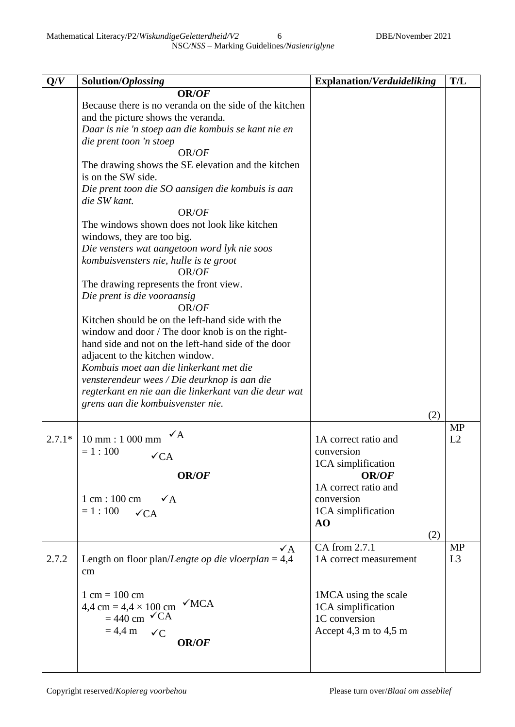NSC*/NSS –* Marking Guidelines*/Nasienriglyne*

| Q/V      | Solution/Oplossing                                                                                                                                                                                                                                                                                                                                                                                                                                                                                                                                                                                                                                                                                                                                                                                                                                                                                                                                                                                                       | <b>Explanation/Verduideliking</b>                                                                                                                 | T/L                         |
|----------|--------------------------------------------------------------------------------------------------------------------------------------------------------------------------------------------------------------------------------------------------------------------------------------------------------------------------------------------------------------------------------------------------------------------------------------------------------------------------------------------------------------------------------------------------------------------------------------------------------------------------------------------------------------------------------------------------------------------------------------------------------------------------------------------------------------------------------------------------------------------------------------------------------------------------------------------------------------------------------------------------------------------------|---------------------------------------------------------------------------------------------------------------------------------------------------|-----------------------------|
|          | OR/OF<br>Because there is no veranda on the side of the kitchen<br>and the picture shows the veranda.<br>Daar is nie 'n stoep aan die kombuis se kant nie en<br>die prent toon 'n stoep<br>OR/OF<br>The drawing shows the SE elevation and the kitchen<br>is on the SW side.<br>Die prent toon die SO aansigen die kombuis is aan<br>die SW kant.<br>OR/OF<br>The windows shown does not look like kitchen<br>windows, they are too big.<br>Die vensters wat aangetoon word lyk nie soos<br>kombuisvensters nie, hulle is te groot<br>OR/OF<br>The drawing represents the front view.<br>Die prent is die vooraansig<br>OR/OF<br>Kitchen should be on the left-hand side with the<br>window and door / The door knob is on the right-<br>hand side and not on the left-hand side of the door<br>adjacent to the kitchen window.<br>Kombuis moet aan die linkerkant met die<br>vensterendeur wees / Die deurknop is aan die<br>regterkant en nie aan die linkerkant van die deur wat<br>grens aan die kombuisvenster nie. | (2)                                                                                                                                               |                             |
| $2.7.1*$ | $10 \text{ mm} : 1000 \text{ mm}$<br>$= 1:100$<br>$\sqrt{CA}$<br>OR/OF<br>$1 \text{ cm} : 100 \text{ cm}$<br>$\sqrt{A}$<br>$= 1:100$<br>$\sqrt{CA}$                                                                                                                                                                                                                                                                                                                                                                                                                                                                                                                                                                                                                                                                                                                                                                                                                                                                      | 1A correct ratio and<br>conversion<br>1CA simplification<br><b>OR/OF</b><br>1A correct ratio and<br>conversion<br>1CA simplification<br>AO<br>(2) | <b>MP</b><br>L2             |
| 2.7.2    | $\checkmark$ A<br>Length on floor plan/Lengte op die vloerplan = $4,4$<br>cm<br>$1 cm = 100 cm$<br>$\sqrt{MCA}$<br>$4,4 \text{ cm} = 4,4 \times 100 \text{ cm}$<br>$= 440$ cm $\checkmark$ CA<br>$= 4.4 \text{ m}$<br>$\checkmark C$<br>OR/OF                                                                                                                                                                                                                                                                                                                                                                                                                                                                                                                                                                                                                                                                                                                                                                            | CA from 2.7.1<br>1A correct measurement<br>1MCA using the scale<br>1CA simplification<br>1C conversion<br>Accept 4,3 m to 4,5 m                   | <b>MP</b><br>L <sub>3</sub> |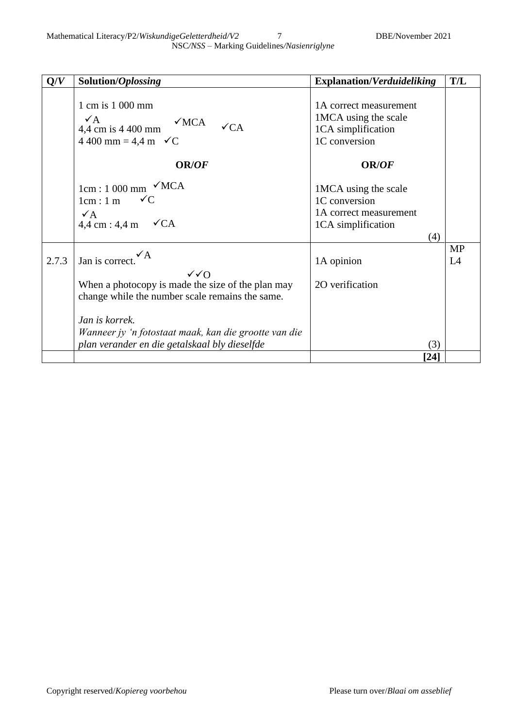| Q/V   | Solution/Oplossing                                                                                                                   | <b>Explanation/Verduideliking</b>                                                            | T/L             |
|-------|--------------------------------------------------------------------------------------------------------------------------------------|----------------------------------------------------------------------------------------------|-----------------|
|       | 1 cm is 1 000 mm<br>$\mathcal{A}$<br>$\sqrt{MCA}$<br>$4,4$ cm is 4 400 mm<br>$\checkmark$ CA<br>4 400 mm = 4,4 m $\checkmark C$      | 1A correct measurement<br>1MCA using the scale<br>1CA simplification<br>1C conversion        |                 |
|       | OR/OF                                                                                                                                | <b>OR/OF</b>                                                                                 |                 |
|       | $1cm:1000$ mm $\checkmark$ MCA<br>$1cm:1 m \quad \checkmark C$<br>$\sqrt{A}$<br>$4,4$ cm : 4,4 m $\checkmark$ CA                     | 1MCA using the scale<br>1C conversion<br>1A correct measurement<br>1CA simplification<br>(4) |                 |
| 2.7.3 | Jan is correct.                                                                                                                      | 1A opinion                                                                                   | <b>MP</b><br>L4 |
|       | $\sqrt{Q}$<br>When a photocopy is made the size of the plan may<br>change while the number scale remains the same.<br>Jan is korrek. | 20 verification                                                                              |                 |
|       | Wanneer jy 'n fotostaat maak, kan die grootte van die<br>plan verander en die getalskaal bly dieselfde                               | (3)                                                                                          |                 |
|       |                                                                                                                                      | [24]                                                                                         |                 |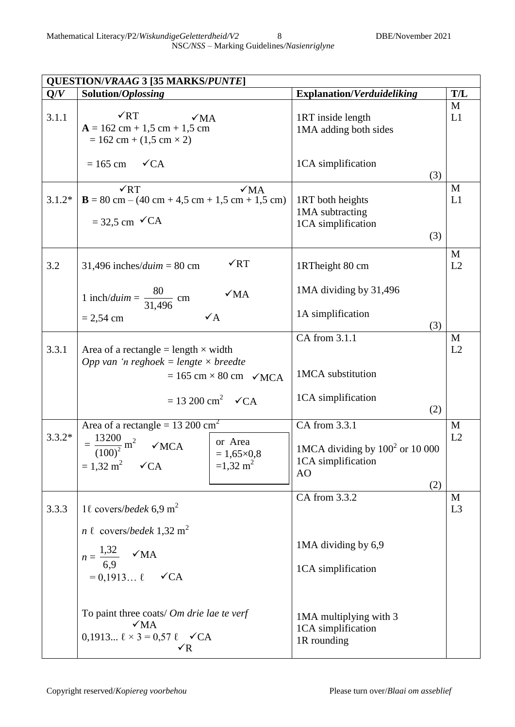Mathematical Literacy/P2/*WiskundigeGeletterdheid/V2* 8 DBE/November 2021 NSC*/NSS –* Marking Guidelines*/Nasienriglyne*

|          | <b>QUESTION/VRAAG 3 [35 MARKS/PUNTE]</b>                                                                                                                                                                     |                                                                                           |                     |
|----------|--------------------------------------------------------------------------------------------------------------------------------------------------------------------------------------------------------------|-------------------------------------------------------------------------------------------|---------------------|
| Q/V      | Solution/Oplossing                                                                                                                                                                                           | <b>Explanation/Verduideliking</b>                                                         | <b>T/L</b>          |
| 3.1.1    | $\sqrt{RT}$<br>$\sqrt{MA}$<br>$A = 162$ cm + 1,5 cm + 1,5 cm<br>$= 162$ cm + (1,5 cm $\times$ 2)                                                                                                             | 1RT inside length<br>1MA adding both sides                                                | M<br>L1             |
|          | $= 165$ cm<br>$\checkmark$ CA                                                                                                                                                                                | 1CA simplification<br>(3)                                                                 |                     |
| $3.1.2*$ | $\sqrt{RT}$<br>$\sqrt{MA}$<br>$B = 80$ cm $- (40$ cm $+ 4.5$ cm $+ 1.5$ cm $+ 1.5$ cm)<br>$=$ 32,5 cm $\checkmark$ CA                                                                                        | 1RT both heights<br>1MA subtracting<br>1CA simplification<br>(3)                          | M<br>L1             |
| 3.2      | $\sqrt{RT}$<br>31,496 inches/ <i>duim</i> = 80 cm                                                                                                                                                            | 1RTheight 80 cm                                                                           | M<br>L2             |
|          | 1 inch/ <i>duim</i> = $\frac{80}{31,496}$ cm<br>$\sqrt{MA}$                                                                                                                                                  | 1MA dividing by 31,496                                                                    |                     |
|          | $\sqrt{A}$<br>$= 2,54$ cm                                                                                                                                                                                    | 1A simplification<br>(3)                                                                  |                     |
| 3.3.1    | Area of a rectangle = length $\times$ width<br>Opp van 'n reghoek = lengte $\times$ breedte<br>$= 165$ cm $\times 80$ cm $\checkmark$ MCA                                                                    | CA from 3.1.1<br>1MCA substitution                                                        | M<br>L2             |
|          | $= 13200 \text{ cm}^2$ $\checkmark$ CA                                                                                                                                                                       | 1CA simplification<br>(2)                                                                 |                     |
| $3.3.2*$ | Area of a rectangle = $13\ 200\ \text{cm}^2$<br>$=\frac{13200}{(100)^2}$ m <sup>2</sup><br>or Area<br>$\sqrt{MCA}$<br>$= 1,65 \times 0,8$<br>$= 1,32 \text{ m}^2 \quad \checkmark$ CA<br>$=1,32 \text{ m}^2$ | CA from 3.3.1<br>1MCA dividing by $100^2$ or $10\,000$<br>1CA simplification<br>AO<br>(2) | M<br>L2             |
| 3.3.3    | 1 l covers/bedek 6,9 m <sup>2</sup><br>$n \ell$ covers/bedek 1,32 m <sup>2</sup><br>$n = \frac{1,32}{6,9}$ VMA<br>$= 0,1913 \ell \quad \checkmark$ CA                                                        | CA from 3.3.2<br>1MA dividing by 6,9<br>1CA simplification                                | M<br>L <sub>3</sub> |
|          | To paint three coats/ Om drie lae te verf<br>$\sqrt{MA}$<br>$0,1913 \ell \times 3 = 0,57 \ell \quad \checkmark{CA}$<br>$\sqrt{R}$                                                                            | 1MA multiplying with 3<br>1CA simplification<br>1R rounding                               |                     |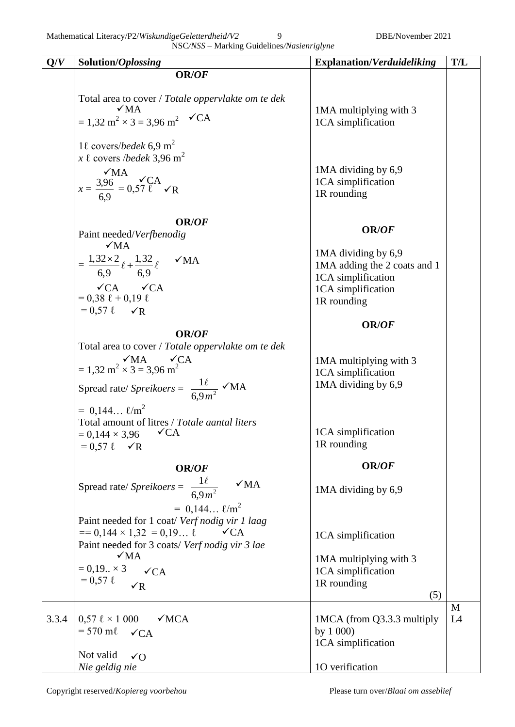Mathematical Literacy/P2/*WiskundigeGeletterdheid/V2* 9 DBE/November 2021

| Q/V   | Solution/Oplossing                                                                       | <b>Explanation/Verduideliking</b>         | T/L |
|-------|------------------------------------------------------------------------------------------|-------------------------------------------|-----|
|       | OR/OF                                                                                    |                                           |     |
|       | Total area to cover / Totale oppervlakte om te dek                                       |                                           |     |
|       | $\sqrt{MA}$                                                                              | 1MA multiplying with 3                    |     |
|       | $= 1,32 \text{ m}^2 \times 3 = 3,96 \text{ m}^2$ $\checkmark$ CA                         | 1CA simplification                        |     |
|       | 1 $\ell$ covers/bedek 6,9 m <sup>2</sup>                                                 |                                           |     |
|       | x $\ell$ covers /bedek 3,96 m <sup>2</sup>                                               |                                           |     |
|       |                                                                                          | 1MA dividing by 6,9<br>1CA simplification |     |
|       | $x = \frac{3.96}{6.9} = 0.57 \frac{\sqrt{CA}}{C}$                                        | 1R rounding                               |     |
|       |                                                                                          |                                           |     |
|       | <b>OR/OF</b>                                                                             |                                           |     |
|       | Paint needed/Verfbenodig                                                                 | OR/OF                                     |     |
|       | $\sqrt{MA}$                                                                              | 1MA dividing by 6,9                       |     |
|       | = $\frac{1,32\times2}{6,9}$ $\ell$ + $\frac{1,32}{6,9}$ $\ell$ $\blacktriangleright$ VMA | 1MA adding the 2 coats and 1              |     |
|       | $\checkmark$ CA $\checkmark$ CA                                                          | 1CA simplification                        |     |
|       | $= 0,38 \ell + 0,19 \ell$                                                                | 1CA simplification<br>1R rounding         |     |
|       | $= 0.57 \ell$ $\checkmark$                                                               |                                           |     |
|       | <b>OR/OF</b>                                                                             | <b>OR/OF</b>                              |     |
|       | Total area to cover / Totale oppervlakte om te dek                                       |                                           |     |
|       | $\simeq 1,32 \text{ m}^2 \times 3 = 3,96 \text{ m}^2$                                    | 1MA multiplying with 3                    |     |
|       |                                                                                          | 1CA simplification                        |     |
|       | Spread rate/ Spreikoers = $\frac{1\ell}{6.9m^2}$ $\checkmark$ MA                         | 1MA dividing by 6,9                       |     |
|       | $= 0.144 \; \ell/m^2$                                                                    |                                           |     |
|       | Total amount of litres / Totale aantal liters                                            |                                           |     |
|       | $= 0,144 \times 3,96$ $\checkmark$ CA                                                    | 1CA simplification<br>1R rounding         |     |
|       | $= 0.57 \ell \quad \sqrt{R}$                                                             |                                           |     |
|       | OR/OF                                                                                    | OR/OF                                     |     |
|       | Spread rate/ Spreikoers = $\frac{1\ell}{6.9m^2}$<br>$\sqrt{MA}$                          | 1MA dividing by 6,9                       |     |
|       | $= 0.144 \; \ell/m^2$                                                                    |                                           |     |
|       | Paint needed for 1 coat/ Verf nodig vir 1 laag                                           |                                           |     |
|       | $== 0,144 \times 1,32 = 0,19$<br>$\sqrt{CA}$                                             | 1CA simplification                        |     |
|       | Paint needed for 3 coats/ Verf nodig vir 3 lae                                           |                                           |     |
|       | $\sqrt{MA}$                                                                              | 1MA multiplying with 3                    |     |
|       | $= 0.19 \times 3$ $\checkmark$ CA<br>$= 0.57 \; \ell$                                    | 1CA simplification<br>1R rounding         |     |
|       | $\sqrt{R}$                                                                               | (5)                                       |     |
|       |                                                                                          |                                           | M   |
| 3.3.4 | $0,57 \ell \times 1000$<br>$\sqrt{MCA}$                                                  | 1MCA (from Q3.3.3 multiply                | L4  |
|       | $= 570$ ml $\checkmark$ CA                                                               | by $1\,000$<br>1CA simplification         |     |
|       | Not valid<br>$\sqrt{O}$                                                                  |                                           |     |
|       | Nie geldig nie                                                                           | 1O verification                           |     |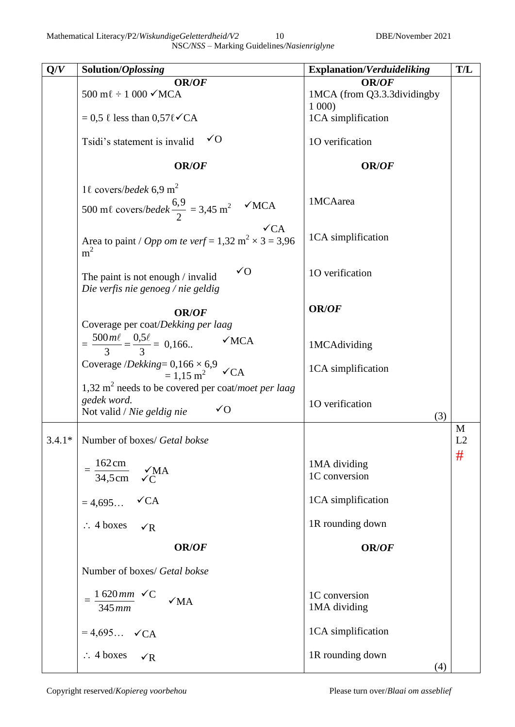Mathematical Literacy/P2/*WiskundigeGeletterdheid/V2* 10 DBE/November 2021 NSC*/NSS –* Marking Guidelines*/Nasienriglyne*

| Q/V      | Solution/Oplossing                                                                                              | <b>Explanation/Verduideliking</b>           | T/L     |
|----------|-----------------------------------------------------------------------------------------------------------------|---------------------------------------------|---------|
|          | OR/OF<br>500 m $\ell \div 1$ 000 $\checkmark$ MCA                                                               | <b>OR/OF</b><br>1MCA (from Q3.3.3dividingby |         |
|          | $= 0.5 \ell$ less than $0.57\ell\checkmark$ CA                                                                  | 1000<br>1CA simplification                  |         |
|          | $\sqrt{0}$<br>Tsidi's statement is invalid                                                                      | 10 verification                             |         |
|          | <b>OR/OF</b>                                                                                                    | <b>OR/OF</b>                                |         |
|          | 1 $\ell$ covers/bedek 6,9 m <sup>2</sup>                                                                        |                                             |         |
|          | 500 ml covers/bedek $\frac{6,9}{2}$ = 3,45 m <sup>2</sup><br>$\sqrt{MCA}$                                       | 1MCAarea                                    |         |
|          | $\sqrt{CA}$<br>Area to paint / <i>Opp om te verf</i> = 1,32 m <sup>2</sup> $\times$ 3 = 3,96<br>m <sup>2</sup>  | 1CA simplification                          |         |
|          | $\sqrt{O}$<br>The paint is not enough / invalid<br>Die verfis nie genoeg / nie geldig                           | 10 verification                             |         |
|          | <b>OR/OF</b>                                                                                                    | <b>OR/OF</b>                                |         |
|          | Coverage per coat/Dekking per laag<br>$=\frac{500 m\ell}{3}=\frac{0.5 \ell}{3}=0.166$<br>$\sqrt{MCA}$           | 1MCAdividing                                |         |
|          | Coverage / <i>Dekking</i> = $0,166 \times 6,9$<br>= $1,15$ m <sup>2</sup><br>$\sqrt{CA}$                        | 1CA simplification                          |         |
|          | 1,32 $m2$ needs to be covered per coat/moet per laag<br>gedek word.<br>$\sqrt{O}$<br>Not valid / Nie geldig nie | 10 verification<br>(3)                      |         |
| $3.4.1*$ | Number of boxes/ Getal bokse                                                                                    |                                             | M<br>L2 |
|          | 162cm<br>$\sqrt{MA}$<br>34,5cm<br>$\sqrt{C}$                                                                    | 1MA dividing<br>1C conversion               | #       |
|          | $\checkmark$ CA<br>$= 4,695$                                                                                    | 1CA simplification                          |         |
|          | $\therefore$ 4 boxes $\checkmark$ R                                                                             | 1R rounding down                            |         |
|          | <b>OR/OF</b>                                                                                                    | <b>OR/OF</b>                                |         |
|          | Number of boxes/ Getal bokse                                                                                    |                                             |         |
|          | 1620 $mm \checkmark C$<br>$\sqrt{MA}$<br>$345$ mm                                                               | 1C conversion<br>1MA dividing               |         |
|          | $= 4,695$ $\checkmark$ CA                                                                                       | 1CA simplification                          |         |
|          | $\therefore$ 4 boxes $\checkmark$ R                                                                             | 1R rounding down<br>(4)                     |         |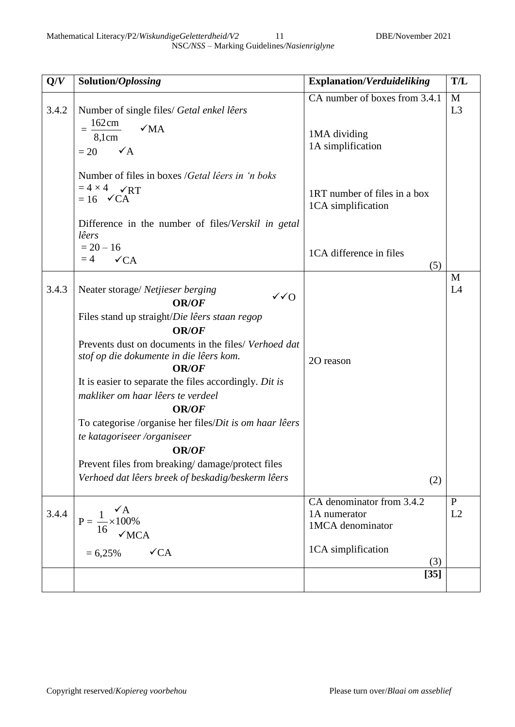| Q/V   | Solution/Oplossing                                                                                                                                                                                                                                                                                                                                                                                                                                                                                                                                                                   | <b>Explanation/Verduideliking</b>                                  | T/L                |
|-------|--------------------------------------------------------------------------------------------------------------------------------------------------------------------------------------------------------------------------------------------------------------------------------------------------------------------------------------------------------------------------------------------------------------------------------------------------------------------------------------------------------------------------------------------------------------------------------------|--------------------------------------------------------------------|--------------------|
| 3.4.2 | Number of single files/ Getal enkel lêers<br>162cm<br>$\sqrt{MA}$<br>8,1cm<br>$\checkmark$ A<br>$= 20$                                                                                                                                                                                                                                                                                                                                                                                                                                                                               | CA number of boxes from 3.4.1<br>1MA dividing<br>1A simplification | M<br>L3            |
|       | Number of files in boxes / Getal lêers in 'n boks<br>$= 4 \times 4$ $\sqrt{RT}$<br>$= 16 \quad \checkmark$ CA<br>Difference in the number of files/ <i>Verskil in getal</i><br>lêers                                                                                                                                                                                                                                                                                                                                                                                                 | 1RT number of files in a box<br>1CA simplification                 |                    |
|       | $= 20 - 16$<br>$\checkmark$ CA<br>$=4$                                                                                                                                                                                                                                                                                                                                                                                                                                                                                                                                               | 1CA difference in files<br>(5)                                     |                    |
| 3.4.3 | Neater storage/ Netjieser berging<br>$\sqrt{Q}$<br><b>OR/OF</b><br>Files stand up straight/Die lêers staan regop<br><b>OR/OF</b><br>Prevents dust on documents in the files/ Verhoed dat<br>stof op die dokumente in die lêers kom.<br><b>OR/OF</b><br>It is easier to separate the files accordingly. Dit is<br>makliker om haar lêers te verdeel<br><b>OR/OF</b><br>To categorise /organise her files/Dit is om haar lêers<br>te katagoriseer /organiseer<br><b>OR/OF</b><br>Prevent files from breaking/damage/protect files<br>Verhoed dat lêers breek of beskadig/beskerm lêers | 20 reason<br>(2)                                                   | M<br>L4            |
| 3.4.4 | $P = \frac{1}{16} \times 100\%$<br>$\sqrt{MCA}$                                                                                                                                                                                                                                                                                                                                                                                                                                                                                                                                      | CA denominator from 3.4.2<br>1A numerator<br>1MCA denominator      | $\mathbf{P}$<br>L2 |
|       | $\sqrt{CA}$<br>$= 6,25%$                                                                                                                                                                                                                                                                                                                                                                                                                                                                                                                                                             | 1CA simplification<br>(3)<br>$[35]$                                |                    |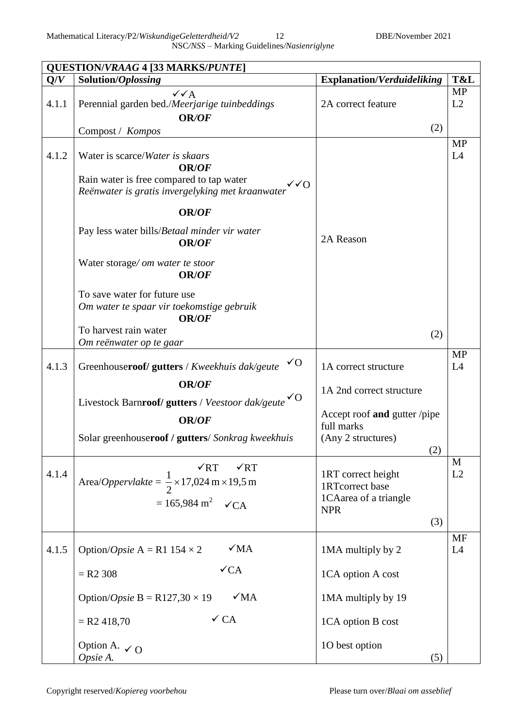Mathematical Literacy/P2/*WiskundigeGeletterdheid/V2* 12 DBE/November 2021 NSC*/NSS –* Marking Guidelines*/Nasienriglyne*

 $\overline{\phantom{a}}$ 

|       | <b>QUESTION/VRAAG 4 [33 MARKS/PUNTE]</b>                                                                                                                                                                                                                                                                                                                                                                 |                                                                                                                             |                    |
|-------|----------------------------------------------------------------------------------------------------------------------------------------------------------------------------------------------------------------------------------------------------------------------------------------------------------------------------------------------------------------------------------------------------------|-----------------------------------------------------------------------------------------------------------------------------|--------------------|
| Q/V   | Solution/Oplossing                                                                                                                                                                                                                                                                                                                                                                                       | <b>Explanation/Verduideliking</b>                                                                                           | T&L                |
| 4.1.1 | $\checkmark\checkmark$ A<br>Perennial garden bed./Meerjarige tuinbeddings<br><b>OR/OF</b><br>Compost / Kompos                                                                                                                                                                                                                                                                                            | 2A correct feature<br>(2)                                                                                                   | <b>MP</b><br>L2    |
| 4.1.2 | Water is scarce/Water is skaars<br><b>OR/OF</b><br>Rain water is free compared to tap water<br>$\sqrt{Q}$<br>Reënwater is gratis invergelyking met kraanwater<br>OR/OF<br>Pay less water bills/Betaal minder vir water<br><b>OR/OF</b><br>Water storage/om water te stoor<br><b>OR/OF</b><br>To save water for future use<br>Om water te spaar vir toekomstige gebruik<br>OR/OF<br>To harvest rain water | 2A Reason                                                                                                                   | <b>MP</b><br>L4    |
|       | Om reënwater op te gaar                                                                                                                                                                                                                                                                                                                                                                                  | (2)                                                                                                                         |                    |
| 4.1.3 | √O<br>Greenhouseroof/gutters / Kweekhuis dak/geute<br><b>OR/OF</b><br>Livestock Barnroof/ gutters / Veestoor dak/geute VO<br><b>OR/OF</b><br>Solar greenhouseroof / gutters/ Sonkrag kweekhuis                                                                                                                                                                                                           | 1A correct structure<br>1A 2nd correct structure<br>Accept roof and gutter /pipe<br>full marks<br>(Any 2 structures)<br>(2) | <b>MP</b><br>L4    |
| 4.1.4 | $\sqrt{RT}$<br>$\sqrt{RT}$<br>Area/ <i>Oppervlakte</i> = $\frac{1}{2}$ × 17,024 m × 19,5 m<br>$= 165,984 \text{ m}^2 \quad \checkmark$ CA                                                                                                                                                                                                                                                                | 1RT correct height<br>1RTcorrect base<br>1CAarea of a triangle<br><b>NPR</b><br>(3)                                         | $\mathbf{M}$<br>L2 |
| 4.1.5 | $\sqrt{MA}$<br>Option/ <i>Opsie</i> A = R1 154 $\times$ 2<br>$\sqrt{CA}$<br>$= R2 308$<br>$\sqrt{MA}$<br>Option/ <i>Opsie</i> B = R127,30 $\times$ 19<br>$\checkmark$ CA<br>$=$ R2 418,70                                                                                                                                                                                                                | 1MA multiply by 2<br>1CA option A cost<br>1MA multiply by 19<br>1CA option B cost                                           | MF<br>L4           |
|       | Option A. $\checkmark$ O<br>Opsie A.                                                                                                                                                                                                                                                                                                                                                                     | 10 best option<br>(5)                                                                                                       |                    |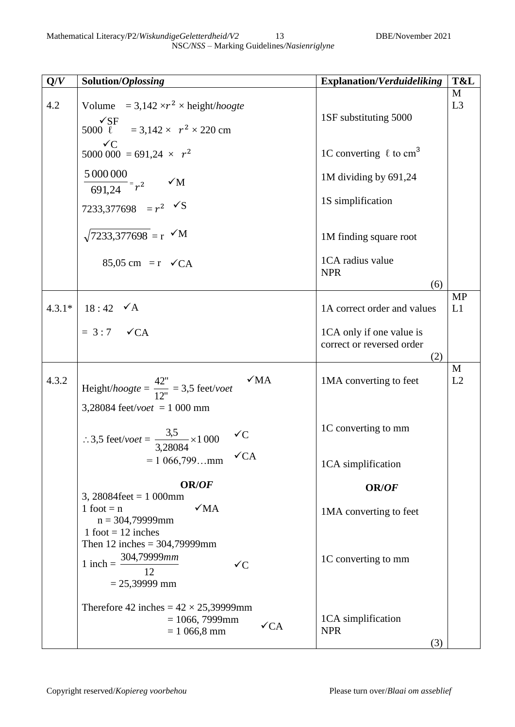| Q/V      | Solution/Oplossing                                                                                                                        | <b>Explanation/Verduideliking</b>                            | T&L                 |
|----------|-------------------------------------------------------------------------------------------------------------------------------------------|--------------------------------------------------------------|---------------------|
| 4.2      | Volume = $3,142 \times r^2 \times \text{height}/\text{hoogte}$<br>$\sqrt{\text{SF}}$<br>5000 $\tilde{l} = 3.142 \times r^2 \times 220$ cm | 1SF substituting 5000                                        | M<br>L <sub>3</sub> |
|          | $\sqrt{C}$<br>5000 000 = 691,24 $\times r^2$                                                                                              | 1C converting $\ell$ to cm <sup>3</sup>                      |                     |
|          | $\frac{5000000}{691,24}$ = $r^2$ $\checkmark$ M                                                                                           | 1M dividing by 691,24                                        |                     |
|          | 7233,377698 = $r^2$ $\checkmark$ S                                                                                                        | 1S simplification                                            |                     |
|          | $\sqrt{7233,377698}$ = r $\checkmark$ M                                                                                                   | 1M finding square root                                       |                     |
|          | $85,05 \text{ cm} = r \checkmark CA$                                                                                                      | 1CA radius value<br><b>NPR</b><br>(6)                        |                     |
| $4.3.1*$ | $18:42 \quad \checkmark$ A                                                                                                                | 1A correct order and values                                  | <b>MP</b><br>L1     |
|          | $= 3:7 \quad \checkmark$ CA                                                                                                               | 1CA only if one value is<br>correct or reversed order<br>(2) |                     |
| 4.3.2    | $\sqrt{MA}$<br>Height/hoogte = $\frac{42^{\circ}}{12^{\circ}}$ = 3,5 feet/voet                                                            | 1MA converting to feet                                       | M<br>L2             |
|          | 3,28084 feet/ <i>voet</i> = 1 000 mm<br>:.3,5 feet/voet = $\frac{3,5}{3,28084} \times 1000$<br>$\sqrt{C}$                                 | 1C converting to mm                                          |                     |
|          | $\sqrt{CA}$<br>$= 1066,799$ mm                                                                                                            | 1CA simplification                                           |                     |
|          | OR/OF<br>3, 28084feet = $1000$ mm                                                                                                         | OR/OF                                                        |                     |
|          | 1 foot $= n$<br>$\sqrt{MA}$<br>$n = 304,79999$ mm<br>$1$ foot = 12 inches                                                                 | 1MA converting to feet                                       |                     |
|          | Then 12 inches = $304,79999$ mm<br>304,79999mm<br>$1$ inch $=$<br>$\checkmark C$<br>12<br>$= 25,39999$ mm                                 | 1C converting to mm                                          |                     |
|          | Therefore 42 inches = $42 \times 25,39999$ mm<br>$= 1066, 7999$ mm<br>$\sqrt{CA}$<br>$= 1066, 8 \text{ mm}$                               | 1CA simplification<br><b>NPR</b><br>(3)                      |                     |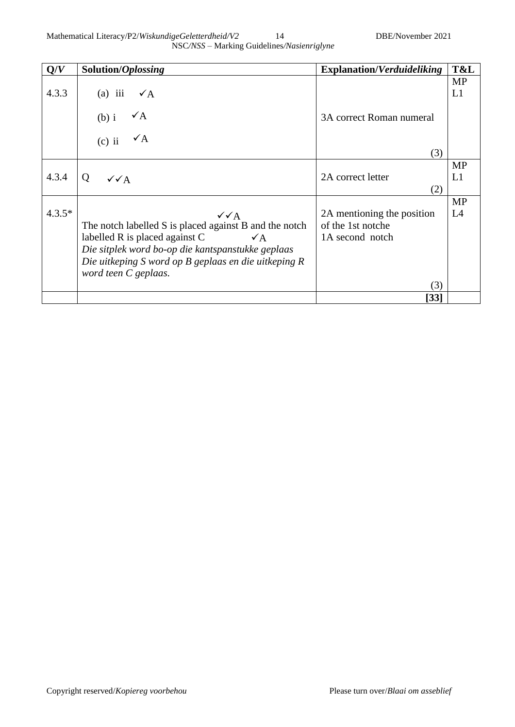| Q/V      | Solution/Oplossing                                                                                                                                                                                                                                                   | <b>Explanation/Verduideliking</b>                                         | T&L             |
|----------|----------------------------------------------------------------------------------------------------------------------------------------------------------------------------------------------------------------------------------------------------------------------|---------------------------------------------------------------------------|-----------------|
| 4.3.3    | $(a)$ iii<br>$\sqrt{A}$                                                                                                                                                                                                                                              |                                                                           | <b>MP</b><br>L1 |
|          | $\checkmark$ A<br>$(b)$ i                                                                                                                                                                                                                                            | 3A correct Roman numeral                                                  |                 |
|          | $\checkmark$ A<br>$(c)$ ii                                                                                                                                                                                                                                           | (3)                                                                       |                 |
| 4.3.4    | Q<br>$\sqrt{\sqrt{A}}$                                                                                                                                                                                                                                               | 2A correct letter<br>(2)                                                  | <b>MP</b><br>L1 |
| $4.3.5*$ | $\sqrt{\sqrt{A}}$<br>The notch labelled S is placed against B and the notch<br>labelled R is placed against C<br>$\checkmark$ A<br>Die sitplek word bo-op die kantspanstukke geplaas<br>Die uitkeping S word op B geplaas en die uitkeping R<br>word teen C geplaas. | 2A mentioning the position<br>of the 1st notche<br>1A second notch<br>(3) | <b>MP</b><br>L4 |
|          |                                                                                                                                                                                                                                                                      | [33]                                                                      |                 |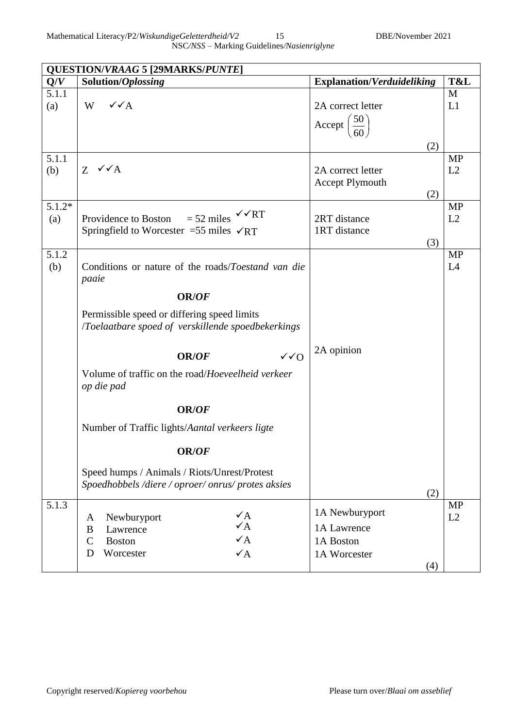|                 | <b>QUESTION/VRAAG 5 [29MARKS/PUNTE]</b>                                                                                                                   |                                                                     |                 |  |  |  |
|-----------------|-----------------------------------------------------------------------------------------------------------------------------------------------------------|---------------------------------------------------------------------|-----------------|--|--|--|
| Q/V             | Solution/Oplossing                                                                                                                                        | <b>Explanation/Verduideliking</b>                                   | T&L             |  |  |  |
| 5.1.1<br>(a)    | $\sqrt{\sqrt{A}}$<br>W                                                                                                                                    | 2A correct letter<br>$\left(\frac{50}{60}\right)$<br>$Accept \vert$ | M<br>L1         |  |  |  |
|                 |                                                                                                                                                           | (2)                                                                 |                 |  |  |  |
| 5.1.1<br>(b)    | $Z \checkmark A$                                                                                                                                          | 2A correct letter<br><b>Accept Plymouth</b><br>(2)                  | <b>MP</b><br>L2 |  |  |  |
| $5.1.2*$<br>(a) | $=$ 52 miles $\checkmark$ $\checkmark$ RT<br>Providence to Boston<br>Springfield to Worcester = 55 miles $\sqrt{RT}$                                      | 2RT distance<br>1RT distance<br>(3)                                 | <b>MP</b><br>L2 |  |  |  |
| 5.1.2<br>(b)    | Conditions or nature of the roads/ <i>Toestand van die</i><br>paaie                                                                                       |                                                                     | <b>MP</b><br>L4 |  |  |  |
|                 | <b>OR/OF</b>                                                                                                                                              |                                                                     |                 |  |  |  |
|                 | Permissible speed or differing speed limits<br>/Toelaatbare spoed of verskillende spoedbekerkings                                                         |                                                                     |                 |  |  |  |
|                 | $\sqrt{0}$<br>OR/OF                                                                                                                                       | 2A opinion                                                          |                 |  |  |  |
|                 | Volume of traffic on the road/Hoeveelheid verkeer<br>op die pad                                                                                           |                                                                     |                 |  |  |  |
|                 | <b>OR/OF</b>                                                                                                                                              |                                                                     |                 |  |  |  |
|                 | Number of Traffic lights/Aantal verkeers ligte                                                                                                            |                                                                     |                 |  |  |  |
|                 | OR/OF                                                                                                                                                     |                                                                     |                 |  |  |  |
|                 | Speed humps / Animals / Riots/Unrest/Protest<br>Spoedhobbels/diere/oproer/onrus/protes aksies                                                             | (2)                                                                 |                 |  |  |  |
| 5.1.3           | $\checkmark$ A<br>Newburyport<br>A<br>$\sqrt{A}$<br>Lawrence<br>B<br>$\checkmark$ A<br>$\mathcal{C}$<br><b>Boston</b><br>$\checkmark$ A<br>D<br>Worcester | 1A Newburyport<br>1A Lawrence<br>1A Boston<br>1A Worcester<br>(4)   | <b>MP</b><br>L2 |  |  |  |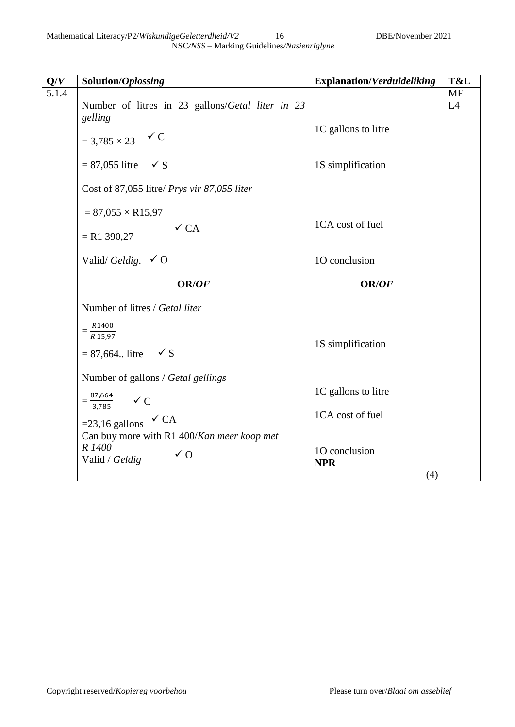| Q/V   | Solution/Oplossing                                                           | <b>Explanation/Verduideliking</b>  | T&L       |
|-------|------------------------------------------------------------------------------|------------------------------------|-----------|
| 5.1.4 |                                                                              |                                    | <b>MF</b> |
|       | Number of litres in 23 gallons/Getal liter in 23<br>gelling                  |                                    | L4        |
|       | $= 3,785 \times 23$ $\checkmark C$                                           | 1C gallons to litre                |           |
|       | $= 87,055$ litre $\checkmark$ S                                              | 1S simplification                  |           |
|       | Cost of 87,055 litre/ Prys vir 87,055 liter                                  |                                    |           |
|       | $= 87,055 \times R15,97$                                                     |                                    |           |
|       | $\checkmark$ CA<br>$= R1 390,27$                                             | 1CA cost of fuel                   |           |
|       | Valid/Geldig. $\checkmark$ O                                                 | 10 conclusion                      |           |
|       |                                                                              |                                    |           |
|       | <b>OR/OF</b>                                                                 | <b>OR/OF</b>                       |           |
|       | Number of litres / Getal liter                                               |                                    |           |
|       | $=\frac{R1400}{R15,97}$                                                      | 1S simplification                  |           |
|       | $= 87,664$ . litre $\checkmark$ S<br>Number of gallons / Getal gellings      |                                    |           |
|       |                                                                              | 1C gallons to litre                |           |
|       | $=\frac{87,664}{3,785}$ $\checkmark$ C                                       | 1CA cost of fuel                   |           |
|       | =23,16 gallons $\checkmark$ CA<br>Can buy more with R1 400/Kan meer koop met |                                    |           |
|       | R 1400<br>$\sqrt{0}$<br>Valid / Geldig                                       | 10 conclusion<br><b>NPR</b><br>(4) |           |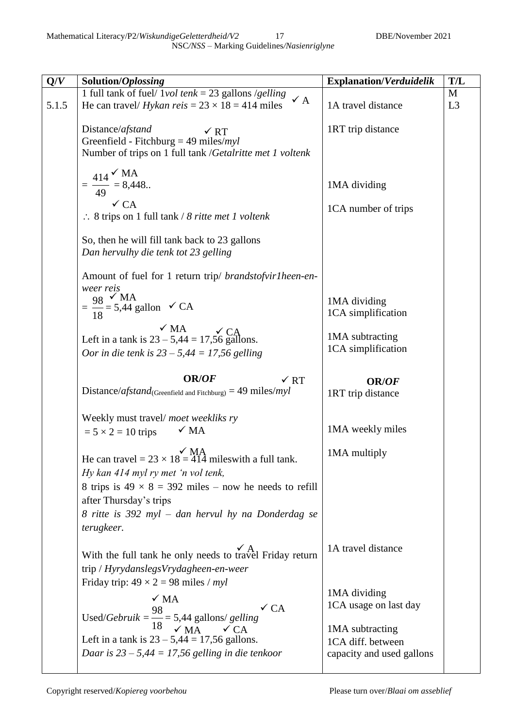| Q/V   | Solution/Oplossing                                                                                   | <b>Explanation/Verduidelik</b> | T/L            |
|-------|------------------------------------------------------------------------------------------------------|--------------------------------|----------------|
|       | 1 full tank of fuel/ $1vol$ tenk = 23 gallons /gelling<br>$\checkmark$ A                             |                                | M              |
| 5.1.5 | He can travel/ <i>Hykan reis</i> = $23 \times 18 = 414$ miles                                        | 1A travel distance             | L <sub>3</sub> |
|       | Distance/afstand<br>$\times$ RT                                                                      | 1RT trip distance              |                |
|       | Greenfield - Fitchburg = 49 miles/ $myl$                                                             |                                |                |
|       | Number of trips on 1 full tank /Getalritte met 1 voltenk                                             |                                |                |
|       | $=\frac{414}{49}$ $\frac{6}{9}$ MA $= 8,448$ .                                                       |                                |                |
|       |                                                                                                      | 1MA dividing                   |                |
|       | $\times$ CA                                                                                          | 1CA number of trips            |                |
|       | $\therefore$ 8 trips on 1 full tank / 8 ritte met 1 voltenk                                          |                                |                |
|       | So, then he will fill tank back to 23 gallons                                                        |                                |                |
|       | Dan hervulhy die tenk tot 23 gelling                                                                 |                                |                |
|       | Amount of fuel for 1 return trip/ brandstofvir1heen-en-                                              |                                |                |
|       | weer reis                                                                                            |                                |                |
|       | $=\frac{98}{18}$ $\frac{6}{5}$ ,44 gallon $\checkmark$ CA                                            | 1MA dividing                   |                |
|       |                                                                                                      | 1CA simplification             |                |
|       | $\sqrt{MA}$<br>Left in a tank is $23 - 5,44 = 17,56$ gallons.                                        | 1MA subtracting                |                |
|       | Oor in die tenk is $23 - 5,44 = 17,56$ gelling                                                       | 1CA simplification             |                |
|       |                                                                                                      |                                |                |
|       | <b>OR/OF</b><br>$\times$ RT                                                                          | <b>OR/OF</b>                   |                |
|       | Distance/afstand <sub>(Greenfield and Fitchburg)</sub> = 49 miles/ $myl$                             | 1RT trip distance              |                |
|       | Weekly must travel/moet weekliks ry                                                                  |                                |                |
|       | $\sqrt{MA}$<br>$= 5 \times 2 = 10$ trips                                                             | 1MA weekly miles               |                |
|       |                                                                                                      | 1MA multiply                   |                |
|       | $\overrightarrow{MA}$<br>He can travel = 23 × 18 = 414 miles with a full tank.                       |                                |                |
|       | Hy kan 414 myl ry met 'n vol tenk,                                                                   |                                |                |
|       | 8 trips is $49 \times 8 = 392$ miles – now he needs to refill                                        |                                |                |
|       | after Thursday's trips                                                                               |                                |                |
|       | 8 ritte is 392 myl – dan hervul hy na Donderdag se                                                   |                                |                |
|       | terugkeer.                                                                                           |                                |                |
|       | With the full tank he only needs to travel Friday return                                             | 1A travel distance             |                |
|       | trip / HyrydanslegsVrydagheen-en-weer                                                                |                                |                |
|       | Friday trip: $49 \times 2 = 98$ miles / myl                                                          |                                |                |
|       |                                                                                                      | 1MA dividing                   |                |
|       | $\sqrt{MA}$<br>$\checkmark$ CA                                                                       | 1CA usage on last day          |                |
|       | Used/ <i>Gebruik</i> = $\frac{98}{18}$ = 5,44 gallons/ gelling<br>$\sqrt{PA}$ MA                     |                                |                |
|       |                                                                                                      | 1MA subtracting                |                |
|       | Left in a tank is $23 - 5,44 = 17,56$ gallons.<br>Daar is $23 - 5,44 = 17,56$ gelling in die tenkoor | 1CA diff. between              |                |
|       |                                                                                                      | capacity and used gallons      |                |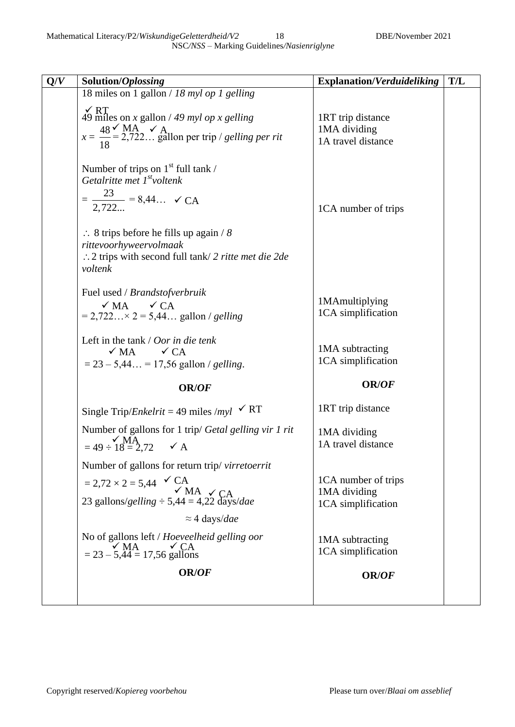| O/V | Solution/Oplossing                                                                                                                                                                                                                                                                 | <b>Explanation/Verduideliking</b>                         | T/L |
|-----|------------------------------------------------------------------------------------------------------------------------------------------------------------------------------------------------------------------------------------------------------------------------------------|-----------------------------------------------------------|-----|
|     | 18 miles on 1 gallon / 18 myl op 1 gelling                                                                                                                                                                                                                                         |                                                           |     |
|     | $\sqrt{\text{RT}}$<br>49 miles on x gallon / 49 myl op x gelling<br>$x = \frac{48}{18}$ $\leq$ MA $\leq$ A<br>Allon per trip / gelling per rit                                                                                                                                     | 1RT trip distance<br>1MA dividing<br>1A travel distance   |     |
|     | Number of trips on $1st$ full tank /<br>Getalritte met $I^{st}$ voltenk<br>$=\frac{23}{2,722} = 8,44$ $\checkmark$ CA<br>$\therefore$ 8 trips before he fills up again / 8<br>rittevoorhyweervolmaak<br>$\therefore$ 2 trips with second full tank/ 2 ritte met die 2de<br>voltenk | 1CA number of trips                                       |     |
|     | Fuel used / Brandstofverbruik<br>$\checkmark$ MA $\checkmark$ CA<br>$= 2,722 \times 2 = 5,44$ gallon / gelling                                                                                                                                                                     | 1MAmultiplying<br>1CA simplification                      |     |
|     | Left in the tank $\frac{1}{\sqrt{1}}$ Oor in die tenk<br>$\sqrt{MA}$ $\sqrt{CA}$<br>$= 23 - 5,44 = 17,56$ gallon / gelling.                                                                                                                                                        | 1MA subtracting<br>1CA simplification                     |     |
|     | OR/OF                                                                                                                                                                                                                                                                              | <b>OR/OF</b>                                              |     |
|     | Single Trip/ <i>Enkelrit</i> = 49 miles /myl $\checkmark$ RT                                                                                                                                                                                                                       | 1RT trip distance                                         |     |
|     | Number of gallons for 1 trip/ Getal gelling vir 1 rit<br>$=49 \div \overrightarrow{MA}$<br>= 49 $\div 18 = 2,72$ $\checkmark$ A                                                                                                                                                    | 1MA dividing<br>1A travel distance                        |     |
|     | Number of gallons for return trip/virretoerrit<br>= 2,72 × 2 = 5,44 $\checkmark$ CA<br>23 gallons/gelling ÷ 5,44 = 4,22 days/dae<br>$\approx$ 4 days/dae                                                                                                                           | 1CA number of trips<br>1MA dividing<br>1CA simplification |     |
|     | No of gallons left / Hoeveelheid gelling oor<br>$\sqrt{\text{MA}}$ = 23 – 5,44 = 17,56 gallons                                                                                                                                                                                     | 1MA subtracting<br>1CA simplification                     |     |
|     | OR/OF                                                                                                                                                                                                                                                                              | OR/OF                                                     |     |